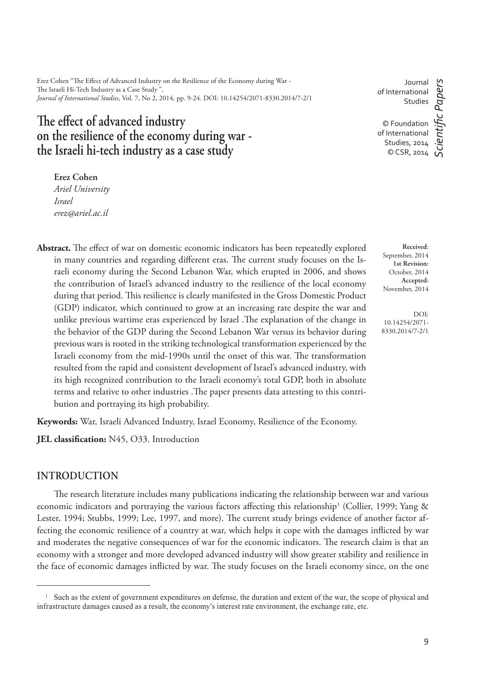Erez Cohen "The Effect of Advanced Industry on the Resilience of the Economy during War -The Israeli Hi-Tech Industry as a Case Study " *Journal of International Studies*, Vol. 7, No 2, 2014, pp. 9-24. DOI: 10.14254/2071-8330.2014/7-2/1

# The effect of advanced industry **on the resilience of the economy during war the Israeli hi-tech industry as a case study**

**Erez Cohen**

*Ariel University Israel erez@ariel.ac.il*

Abstract. The effect of war on domestic economic indicators has been repeatedly explored in many countries and regarding different eras. The current study focuses on the Israeli economy during the Second Lebanon War, which erupted in 2006, and shows the contribution of Israel's advanced industry to the resilience of the local economy during that period. This resilience is clearly manifested in the Gross Domestic Product (GDP) indicator, which continued to grow at an increasing rate despite the war and unlike previous wartime eras experienced by Israel .The explanation of the change in the behavior of the GDP during the Second Lebanon War versus its behavior during previous wars is rooted in the striking technological transformation experienced by the Israeli economy from the mid-1990s until the onset of this war. The transformation resulted from the rapid and consistent development of Israel's advanced industry, with its high recognized contribution to the Israeli economy's total GDP, both in absolute terms and relative to other industries . The paper presents data attesting to this contribution and portraying its high probability.

**Keywords:** War, Israeli Advanced Industry, Israel Economy, Resilience of the Economy.

**JEL classification:** N45, O33. Introduction

#### **INTRODUCTION**

The research literature includes many publications indicating the relationship between war and various economic indicators and portraying the various factors affecting this relationship<sup>1</sup> (Collier, 1999; Yang & Lester, 1994; Stubbs, 1999; Lee, 1997, and more). The current study brings evidence of another factor affecting the economic resilience of a country at war, which helps it cope with the damages inflicted by war and moderates the negative consequences of war for the economic indicators. The research claim is that an economy with a stronger and more developed advanced industry will show greater stability and resilience in the face of economic damages inflicted by war. The study focuses on the Israeli economy since, on the one

Journal of International Studies

© Foundation of International Studies, 2014 © CSR, 2014

**Received**: September, 2014 **1st Revision:** October, 2014 **Accepted:** November, 2014

DOI: 10.14254/2071- 8330.2014/7-2/1

<sup>&</sup>lt;sup>1</sup> Such as the extent of government expenditures on defense, the duration and extent of the war, the scope of physical and infrastructure damages caused as a result, the economy's interest rate environment, the exchange rate, etc.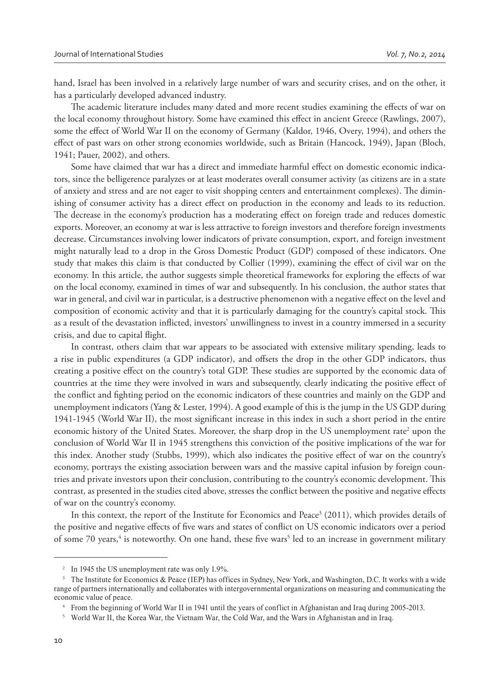hand, Israel has been involved in a relatively large number of wars and security crises, and on the other, it has a particularly developed advanced industry.

The academic literature includes many dated and more recent studies examining the effects of war on the local economy throughout history. Some have examined this effect in ancient Greece (Rawlings, 2007), some the effect of World War II on the economy of Germany (Kaldor, 1946, Overy, 1994), and others the effect of past wars on other strong economies worldwide, such as Britain (Hancock, 1949), Japan (Bloch, 1941; Pauer, 2002), and others.

Some have claimed that war has a direct and immediate harmful effect on domestic economic indicators, since the belligerence paralyzes or at least moderates overall consumer activity (as citizens are in a state of anxiety and stress and are not eager to visit shopping centers and entertainment complexes). The diminishing of consumer activity has a direct effect on production in the economy and leads to its reduction. The decrease in the economy's production has a moderating effect on foreign trade and reduces domestic exports. Moreover, an economy at war is less attractive to foreign investors and therefore foreign investments decrease. Circumstances involving lower indicators of private consumption, export, and foreign investment might naturally lead to a drop in the Gross Domestic Product (GDP) composed of these indicators. One study that makes this claim is that conducted by Collier (1999), examining the effect of civil war on the economy. In this article, the author suggests simple theoretical frameworks for exploring the effects of war on the local economy, examined in times of war and subsequently. In his conclusion, the author states that war in general, and civil war in particular, is a destructive phenomenon with a negative effect on the level and composition of economic activity and that it is particularly damaging for the country's capital stock. This as a result of the devastation inflicted, investors' unwillingness to invest in a country immersed in a security crisis, and due to capital \ ight.

In contrast, others claim that war appears to be associated with extensive military spending, leads to a rise in public expenditures (a GDP indicator), and offsets the drop in the other GDP indicators, thus creating a positive effect on the country's total GDP. These studies are supported by the economic data of countries at the time they were involved in wars and subsequently, clearly indicating the positive effect of the conflict and fighting period on the economic indicators of these countries and mainly on the GDP and unemployment indicators (Yang & Lester, 1994). A good example of this is the jump in the US GDP during 1941-1945 (World War II), the most significant increase in this index in such a short period in the entire economic history of the United States. Moreover, the sharp drop in the US unemployment rate<sup>2</sup> upon the conclusion of World War II in 1945 strengthens this conviction of the positive implications of the war for this index. Another study (Stubbs, 1999), which also indicates the positive effect of war on the country's economy, portrays the existing association between wars and the massive capital infusion by foreign countries and private investors upon their conclusion, contributing to the country's economic development. This contrast, as presented in the studies cited above, stresses the conflict between the positive and negative effects of war on the country's economy.

In this context, the report of the Institute for Economics and Peace<sup>3</sup> (2011), which provides details of the positive and negative effects of five wars and states of conflict on US economic indicators over a period of some 70 years,<sup>4</sup> is noteworthy. On one hand, these five wars<sup>5</sup> led to an increase in government military

<sup>&</sup>lt;sup>2</sup> In 1945 the US unemployment rate was only 1.9%.

<sup>&</sup>lt;sup>3</sup> The Institute for Economics & Peace (IEP) has offices in Sydney, New York, and Washington, D.C. It works with a wide range of partners internationally and collaborates with intergovernmental organizations on measuring and communicating the economic value of peace.

<sup>&</sup>lt;sup>4</sup> From the beginning of World War II in 1941 until the years of conflict in Afghanistan and Iraq during 2005-2013.

<sup>&</sup>lt;sup>5</sup> World War II, the Korea War, the Vietnam War, the Cold War, and the Wars in Afghanistan and in Iraq.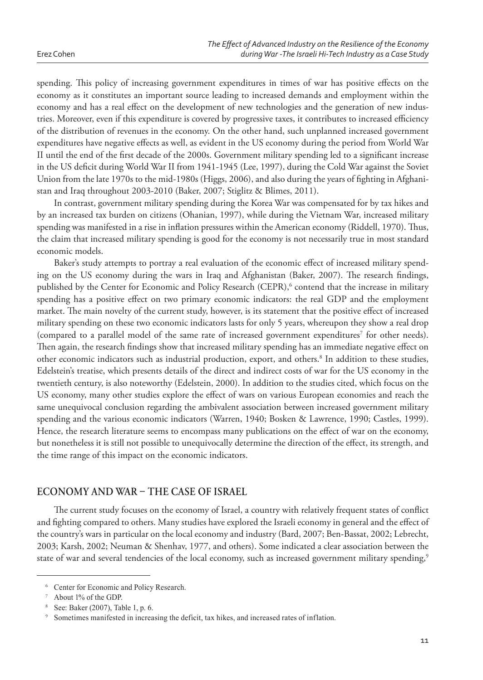Erez Cohen

spending. This policy of increasing government expenditures in times of war has positive effects on the economy as it constitutes an important source leading to increased demands and employment within the economy and has a real effect on the development of new technologies and the generation of new industries. Moreover, even if this expenditure is covered by progressive taxes, it contributes to increased efficiency of the distribution of revenues in the economy. On the other hand, such unplanned increased government expenditures have negative effects as well, as evident in the US economy during the period from World War II until the end of the first decade of the 2000s. Government military spending led to a significant increase in the US deficit during World War II from 1941-1945 (Lee, 1997), during the Cold War against the Soviet Union from the late 1970s to the mid-1980s (Higgs, 2006), and also during the years of fighting in Afghanistan and Iraq throughout 2003-2010 (Baker, 2007; Stiglitz & Blimes, 2011).

In contrast, government military spending during the Korea War was compensated for by tax hikes and by an increased tax burden on citizens (Ohanian, 1997), while during the Vietnam War, increased military spending was manifested in a rise in inflation pressures within the American economy (Riddell, 1970). Thus, the claim that increased military spending is good for the economy is not necessarily true in most standard economic models.

Baker's study attempts to portray a real evaluation of the economic effect of increased military spending on the US economy during the wars in Iraq and Afghanistan (Baker, 2007). The research findings, published by the Center for Economic and Policy Research (CEPR),<sup>6</sup> contend that the increase in military spending has a positive effect on two primary economic indicators: the real GDP and the employment market. The main novelty of the current study, however, is its statement that the positive effect of increased military spending on these two economic indicators lasts for only 5 years, whereupon they show a real drop (compared to a parallel model of the same rate of increased government expenditures<sup>7</sup> for other needs). Then again, the research findings show that increased military spending has an immediate negative effect on other economic indicators such as industrial production, export, and others.<sup>8</sup> In addition to these studies, Edelstein's treatise, which presents details of the direct and indirect costs of war for the US economy in the twentieth century, is also noteworthy (Edelstein, 2000). In addition to the studies cited, which focus on the US economy, many other studies explore the effect of wars on various European economies and reach the same unequivocal conclusion regarding the ambivalent association between increased government military spending and the various economic indicators (Warren, 1940; Bosken & Lawrence, 1990; Castles, 1999). Hence, the research literature seems to encompass many publications on the effect of war on the economy, but nonetheless it is still not possible to unequivocally determine the direction of the effect, its strength, and the time range of this impact on the economic indicators.

## **ECONOMY AND WAR - THE CASE OF ISRAEL**

The current study focuses on the economy of Israel, a country with relatively frequent states of conflict and fighting compared to others. Many studies have explored the Israeli economy in general and the effect of the country's wars in particular on the local economy and industry (Bard, 2007; Ben-Bassat, 2002; Lebrecht, 2003; Karsh, 2002; Neuman & Shenhav, 1977, and others). Some indicated a clear association between the state of war and several tendencies of the local economy, such as increased government military spending,<sup>9</sup>

<sup>&</sup>lt;sup>6</sup> Center for Economic and Policy Research.

<sup>&</sup>lt;sup>7</sup> About 1% of the GDP.

 $8$  See: Baker (2007), Table 1, p. 6.

Sometimes manifested in increasing the deficit, tax hikes, and increased rates of inflation.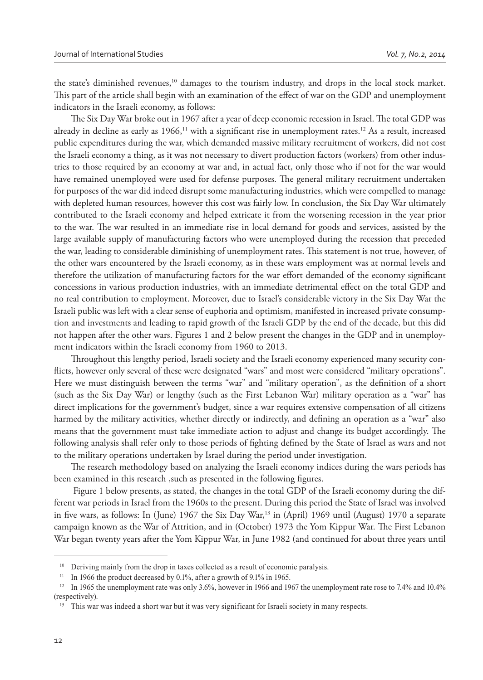the state's diminished revenues,<sup>10</sup> damages to the tourism industry, and drops in the local stock market. This part of the article shall begin with an examination of the effect of war on the GDP and unemployment indicators in the Israeli economy, as follows:

The Six Day War broke out in 1967 after a year of deep economic recession in Israel. The total GDP was already in decline as early as  $1966$ ,<sup>11</sup> with a significant rise in unemployment rates.<sup>12</sup> As a result, increased public expenditures during the war, which demanded massive military recruitment of workers, did not cost the Israeli economy a thing, as it was not necessary to divert production factors (workers) from other industries to those required by an economy at war and, in actual fact, only those who if not for the war would have remained unemployed were used for defense purposes. The general military recruitment undertaken for purposes of the war did indeed disrupt some manufacturing industries, which were compelled to manage with depleted human resources, however this cost was fairly low. In conclusion, the Six Day War ultimately contributed to the Israeli economy and helped extricate it from the worsening recession in the year prior to the war. The war resulted in an immediate rise in local demand for goods and services, assisted by the large available supply of manufacturing factors who were unemployed during the recession that preceded the war, leading to considerable diminishing of unemployment rates. This statement is not true, however, of the other wars encountered by the Israeli economy, as in these wars employment was at normal levels and therefore the utilization of manufacturing factors for the war effort demanded of the economy significant concessions in various production industries, with an immediate detrimental effect on the total GDP and no real contribution to employment. Moreover, due to Israel's considerable victory in the Six Day War the Israeli public was left with a clear sense of euphoria and optimism, manifested in increased private consumption and investments and leading to rapid growth of the Israeli GDP by the end of the decade, but this did not happen after the other wars. Figures 1 and 2 below present the changes in the GDP and in unemployment indicators within the Israeli economy from 1960 to 2013.

Throughout this lengthy period, Israeli society and the Israeli economy experienced many security conflicts, however only several of these were designated "wars" and most were considered "military operations". Here we must distinguish between the terms "war" and "military operation", as the definition of a short (such as the Six Day War) or lengthy (such as the First Lebanon War) military operation as a "war" has direct implications for the government's budget, since a war requires extensive compensation of all citizens harmed by the military activities, whether directly or indirectly, and defining an operation as a "war" also means that the government must take immediate action to adjust and change its budget accordingly. The following analysis shall refer only to those periods of fighting defined by the State of Israel as wars and not to the military operations undertaken by Israel during the period under investigation.

The research methodology based on analyzing the Israeli economy indices during the wars periods has been examined in this research , such as presented in the following figures.

 Figure 1 below presents, as stated, the changes in the total GDP of the Israeli economy during the different war periods in Israel from the 1960s to the present. During this period the State of Israel was involved in five wars, as follows: In (June) 1967 the Six Day War,<sup>13</sup> in (April) 1969 until (August) 1970 a separate campaign known as the War of Attrition, and in (October) 1973 the Yom Kippur War. The First Lebanon War began twenty years after the Yom Kippur War, in June 1982 (and continued for about three years until

<sup>&</sup>lt;sup>10</sup> Deriving mainly from the drop in taxes collected as a result of economic paralysis.

<sup>&</sup>lt;sup>11</sup> In 1966 the product decreased by 0.1%, after a growth of 9.1% in 1965.

<sup>&</sup>lt;sup>12</sup> In 1965 the unemployment rate was only 3.6%, however in 1966 and 1967 the unemployment rate rose to 7.4% and 10.4% (respectively).

<sup>&</sup>lt;sup>13</sup> This war was indeed a short war but it was very significant for Israeli society in many respects.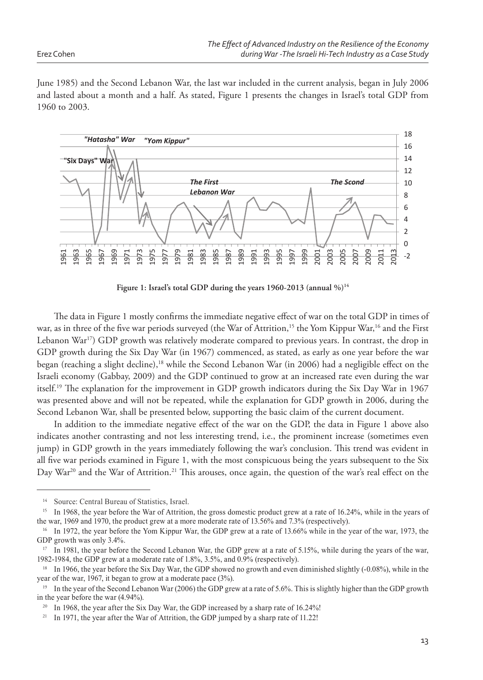Erez Cohen

June 1985) and the Second Lebanon War, the last war included in the current analysis, began in July 2006 and lasted about a month and a half. As stated, Figure 1 presents the changes in Israel's total GDP from 1960 to 2003.



**Figure 1: Israel's total GDP during the years 1960-2013 (annual %)<sup>14</sup>**

The data in Figure 1 mostly confirms the immediate negative effect of war on the total GDP in times of war, as in three of the five war periods surveyed (the War of Attrition,<sup>15</sup> the Yom Kippur War,<sup>16</sup> and the First Lebanon War<sup>17</sup>) GDP growth was relatively moderate compared to previous years. In contrast, the drop in GDP growth during the Six Day War (in 1967) commenced, as stated, as early as one year before the war began (reaching a slight decline),<sup>18</sup> while the Second Lebanon War (in 2006) had a negligible effect on the Israeli economy (Gabbay, 2009) and the GDP continued to grow at an increased rate even during the war itself.<sup>19</sup> The explanation for the improvement in GDP growth indicators during the Six Day War in 1967 was presented above and will not be repeated, while the explanation for GDP growth in 2006, during the Second Lebanon War, shall be presented below, supporting the basic claim of the current document.

In addition to the immediate negative effect of the war on the GDP, the data in Figure 1 above also indicates another contrasting and not less interesting trend, i.e., the prominent increase (sometimes even jump) in GDP growth in the years immediately following the war's conclusion. This trend was evident in all five war periods examined in Figure 1, with the most conspicuous being the years subsequent to the Six Day War<sup>20</sup> and the War of Attrition.<sup>21</sup> This arouses, once again, the question of the war's real effect on the

Source: Central Bureau of Statistics, Israel.

<sup>&</sup>lt;sup>15</sup> In 1968, the year before the War of Attrition, the gross domestic product grew at a rate of 16.24%, while in the years of the war, 1969 and 1970, the product grew at a more moderate rate of 13.56% and 7.3% (respectively).

<sup>&</sup>lt;sup>16</sup> In 1972, the year before the Yom Kippur War, the GDP grew at a rate of 13.66% while in the year of the war, 1973, the GDP growth was only 3.4%.

<sup>&</sup>lt;sup>17</sup> In 1981, the year before the Second Lebanon War, the GDP grew at a rate of 5.15%, while during the years of the war, 1982-1984, the GDP grew at a moderate rate of 1.8%, 3.5%, and 0.9% (respectively).

<sup>&</sup>lt;sup>18</sup> In 1966, the year before the Six Day War, the GDP showed no growth and even diminished slightly  $(-0.08\%)$ , while in the year of the war, 1967, it began to grow at a moderate pace  $(3\%)$ .

<sup>&</sup>lt;sup>19</sup> In the year of the Second Lebanon War (2006) the GDP grew at a rate of 5.6%. This is slightly higher than the GDP growth in the year before the war  $(4.94\%)$ .

<sup>&</sup>lt;sup>20</sup> In 1968, the year after the Six Day War, the GDP increased by a sharp rate of 16.24%!

<sup>&</sup>lt;sup>21</sup> In 1971, the year after the War of Attrition, the GDP jumped by a sharp rate of 11.22!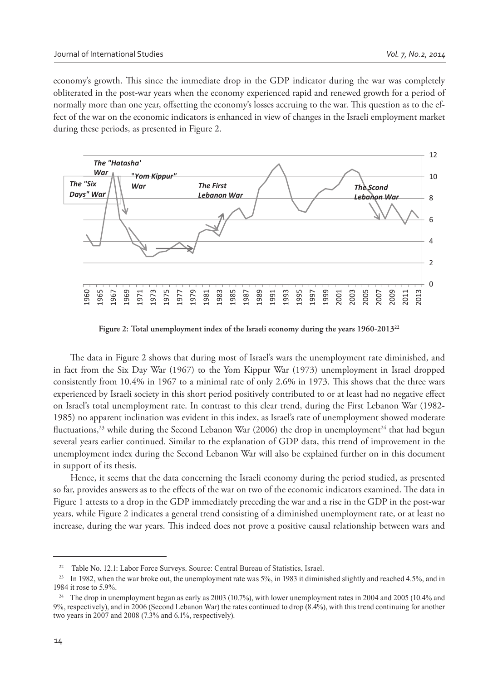economy's growth. This since the immediate drop in the GDP indicator during the war was completely obliterated in the post-war years when the economy experienced rapid and renewed growth for a period of normally more than one year, offsetting the economy's losses accruing to the war. This question as to the effect of the war on the economic indicators is enhanced in view of changes in the Israeli employment market during these periods, as presented in Figure 2.



**Figure 2: Total unemployment index of the Israeli economy during the years 1960-2013<sup>22</sup>**

The data in Figure 2 shows that during most of Israel's wars the unemployment rate diminished, and in fact from the Six Day War (1967) to the Yom Kippur War (1973) unemployment in Israel dropped consistently from  $10.4\%$  in  $1967$  to a minimal rate of only  $2.6\%$  in  $1973$ . This shows that the three wars experienced by Israeli society in this short period positively contributed to or at least had no negative effect on Israel's total unemployment rate. In contrast to this clear trend, during the First Lebanon War (1982- 1985) no apparent inclination was evident in this index, as Israel's rate of unemployment showed moderate fluctuations,<sup>23</sup> while during the Second Lebanon War (2006) the drop in unemployment<sup>24</sup> that had begun several years earlier continued. Similar to the explanation of GDP data, this trend of improvement in the unemployment index during the Second Lebanon War will also be explained further on in this document in support of its thesis.

Hence, it seems that the data concerning the Israeli economy during the period studied, as presented so far, provides answers as to the effects of the war on two of the economic indicators examined. The data in Figure 1 attests to a drop in the GDP immediately preceding the war and a rise in the GDP in the post-war years, while Figure 2 indicates a general trend consisting of a diminished unemployment rate, or at least no increase, during the war years. This indeed does not prove a positive causal relationship between wars and

<sup>&</sup>lt;sup>22</sup> Table No. 12.1: Labor Force Surveys. Source: Central Bureau of Statistics, Israel.

<sup>&</sup>lt;sup>23</sup> In 1982, when the war broke out, the unemployment rate was 5%, in 1983 it diminished slightly and reached 4.5%, and in 1984 it rose to 5.9%.

<sup>&</sup>lt;sup>24</sup> The drop in unemployment began as early as 2003 (10.7%), with lower unemployment rates in 2004 and 2005 (10.4% and 9%, respectively), and in 2006 (Second Lebanon War) the rates continued to drop (8.4%), with this trend continuing for another two years in 2007 and 2008 (7.3% and  $6.1\%$ , respectively).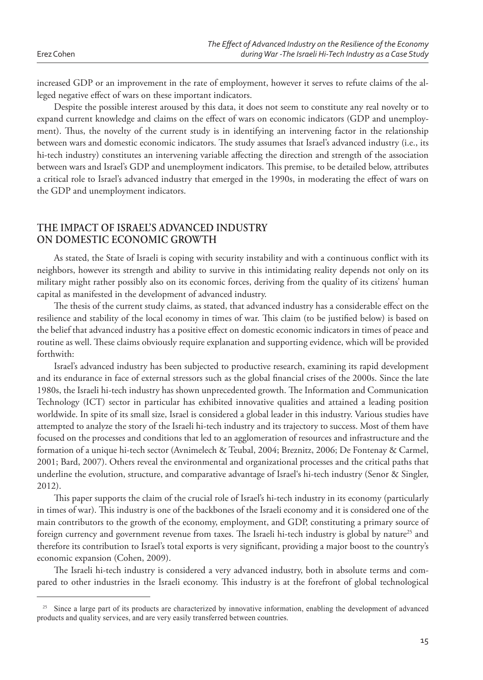increased GDP or an improvement in the rate of employment, however it serves to refute claims of the alleged negative effect of wars on these important indicators.

Despite the possible interest aroused by this data, it does not seem to constitute any real novelty or to expand current knowledge and claims on the effect of wars on economic indicators (GDP and unemployment). Thus, the novelty of the current study is in identifying an intervening factor in the relationship between wars and domestic economic indicators. The study assumes that Israel's advanced industry (i.e., its hi-tech industry) constitutes an intervening variable affecting the direction and strength of the association between wars and Israel's GDP and unemployment indicators. This premise, to be detailed below, attributes a critical role to Israel's advanced industry that emerged in the 1990s, in moderating the effect of wars on the GDP and unemployment indicators.

## **THE IMPACT OF ISRAEL'S ADVANCED INDUSTRY ON DOMESTIC ECONOMIC GROWTH**

As stated, the State of Israeli is coping with security instability and with a continuous conflict with its neighbors, however its strength and ability to survive in this intimidating reality depends not only on its military might rather possibly also on its economic forces, deriving from the quality of its citizens' human capital as manifested in the development of advanced industry.

The thesis of the current study claims, as stated, that advanced industry has a considerable effect on the resilience and stability of the local economy in times of war. This claim (to be justified below) is based on the belief that advanced industry has a positive effect on domestic economic indicators in times of peace and routine as well. These claims obviously require explanation and supporting evidence, which will be provided forthwith:

Israel's advanced industry has been subjected to productive research, examining its rapid development and its endurance in face of external stressors such as the global financial crises of the 2000s. Since the late 1980s, the Israeli hi-tech industry has shown unprecedented growth. The Information and Communication Technology (ICT) sector in particular has exhibited innovative qualities and attained a leading position worldwide. In spite of its small size, Israel is considered a global leader in this industry. Various studies have attempted to analyze the story of the Israeli hi-tech industry and its trajectory to success. Most of them have focused on the processes and conditions that led to an agglomeration of resources and infrastructure and the formation of a unique hi-tech sector (Avnimelech & Teubal, 2004; Breznitz, 2006; De Fontenay & Carmel, 2001; Bard, 2007). Others reveal the environmental and organizational processes and the critical paths that underline the evolution, structure, and comparative advantage of Israel's hi-tech industry (Senor & Singler, 2012).

This paper supports the claim of the crucial role of Israel's hi-tech industry in its economy (particularly in times of war). This industry is one of the backbones of the Israeli economy and it is considered one of the main contributors to the growth of the economy, employment, and GDP, constituting a primary source of foreign currency and government revenue from taxes. The Israeli hi-tech industry is global by nature<sup>25</sup> and therefore its contribution to Israel's total exports is very significant, providing a major boost to the country's economic expansion (Cohen, 2009).

The Israeli hi-tech industry is considered a very advanced industry, both in absolute terms and compared to other industries in the Israeli economy. This industry is at the forefront of global technological

<sup>&</sup>lt;sup>25</sup> Since a large part of its products are characterized by innovative information, enabling the development of advanced products and quality services, and are very easily transferred between countries.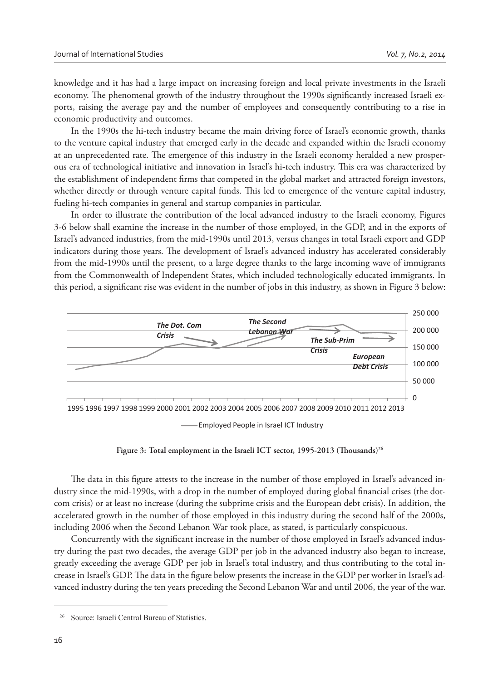knowledge and it has had a large impact on increasing foreign and local private investments in the Israeli economy. The phenomenal growth of the industry throughout the 1990s significantly increased Israeli exports, raising the average pay and the number of employees and consequently contributing to a rise in economic productivity and outcomes.

In the 1990s the hi-tech industry became the main driving force of Israel's economic growth, thanks to the venture capital industry that emerged early in the decade and expanded within the Israeli economy at an unprecedented rate. The emergence of this industry in the Israeli economy heralded a new prosperous era of technological initiative and innovation in Israel's hi-tech industry. This era was characterized by the establishment of independent firms that competed in the global market and attracted foreign investors, whether directly or through venture capital funds. This led to emergence of the venture capital industry, fueling hi-tech companies in general and startup companies in particular.

In order to illustrate the contribution of the local advanced industry to the Israeli economy, Figures 3-6 below shall examine the increase in the number of those employed, in the GDP, and in the exports of Israel's advanced industries, from the mid-1990s until 2013, versus changes in total Israeli export and GDP indicators during those years. The development of Israel's advanced industry has accelerated considerably from the mid-1990s until the present, to a large degree thanks to the large incoming wave of immigrants from the Commonwealth of Independent States, which included technologically educated immigrants. In this period, a significant rise was evident in the number of jobs in this industry, as shown in Figure 3 below:



Employed People in Israel ICT Industry

Figure 3: Total employment in the Israeli ICT sector, 1995-2013 (Thousands)<sup>26</sup>

The data in this figure attests to the increase in the number of those employed in Israel's advanced industry since the mid-1990s, with a drop in the number of employed during global financial crises (the dotcom crisis) or at least no increase (during the subprime crisis and the European debt crisis). In addition, the accelerated growth in the number of those employed in this industry during the second half of the 2000s, including 2006 when the Second Lebanon War took place, as stated, is particularly conspicuous.

Concurrently with the significant increase in the number of those employed in Israel's advanced industry during the past two decades, the average GDP per job in the advanced industry also began to increase, greatly exceeding the average GDP per job in Israel's total industry, and thus contributing to the total increase in Israel's GDP. The data in the figure below presents the increase in the GDP per worker in Israel's advanced industry during the ten years preceding the Second Lebanon War and until 2006, the year of the war.

Source: Israeli Central Bureau of Statistics.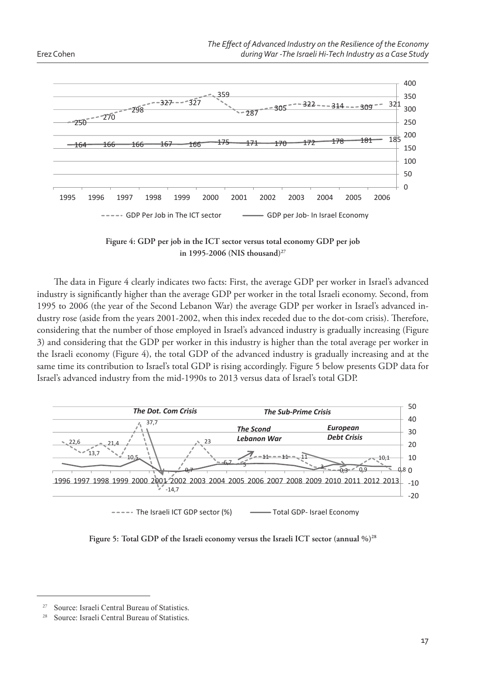



**Figure 4: GDP per job in the ICT sector versus total economy GDP per job in 1995-2006 (NIS thousand)<sup>27</sup>**

The data in Figure 4 clearly indicates two facts: First, the average GDP per worker in Israel's advanced industry is significantly higher than the average GDP per worker in the total Israeli economy. Second, from 1995 to 2006 (the year of the Second Lebanon War) the average GDP per worker in Israel's advanced industry rose (aside from the years 2001-2002, when this index receded due to the dot-com crisis). Therefore, considering that the number of those employed in Israel's advanced industry is gradually increasing (Figure 3) and considering that the GDP per worker in this industry is higher than the total average per worker in the Israeli economy (Figure 4), the total GDP of the advanced industry is gradually increasing and at the same time its contribution to Israel's total GDP is rising accordingly. Figure 5 below presents GDP data for Israel's advanced industry from the mid-1990s to 2013 versus data of Israel's total GDP.



**Figure 5: Total GDP of the Israeli economy versus the Israeli ICT sector (annual %)<sup>28</sup>**

<sup>&</sup>lt;sup>27</sup> Source: Israeli Central Bureau of Statistics

<sup>&</sup>lt;sup>28</sup> Source: Israeli Central Bureau of Statistics.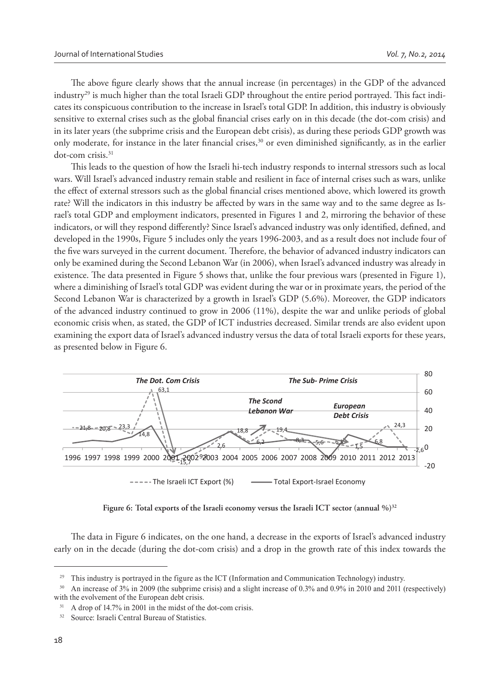The above figure clearly shows that the annual increase (in percentages) in the GDP of the advanced industry<sup>29</sup> is much higher than the total Israeli GDP throughout the entire period portrayed. This fact indicates its conspicuous contribution to the increase in Israel's total GDP. In addition, this industry is obviously sensitive to external crises such as the global financial crises early on in this decade (the dot-com crisis) and in its later years (the subprime crisis and the European debt crisis), as during these periods GDP growth was only moderate, for instance in the later financial crises,<sup>30</sup> or even diminished significantly, as in the earlier dot-com crisis.<sup>31</sup>

This leads to the question of how the Israeli hi-tech industry responds to internal stressors such as local wars. Will Israel's advanced industry remain stable and resilient in face of internal crises such as wars, unlike the effect of external stressors such as the global financial crises mentioned above, which lowered its growth rate? Will the indicators in this industry be affected by wars in the same way and to the same degree as Israel's total GDP and employment indicators, presented in Figures 1 and 2, mirroring the behavior of these indicators, or will they respond differently? Since Israel's advanced industry was only identified, defined, and developed in the 1990s, Figure 5 includes only the years 1996-2003, and as a result does not include four of the five wars surveyed in the current document. Therefore, the behavior of advanced industry indicators can only be examined during the Second Lebanon War (in 2006), when Israel's advanced industry was already in existence. The data presented in Figure 5 shows that, unlike the four previous wars (presented in Figure 1), where a diminishing of Israel's total GDP was evident during the war or in proximate years, the period of the Second Lebanon War is characterized by a growth in Israel's GDP (5.6%). Moreover, the GDP indicators of the advanced industry continued to grow in 2006 (11%), despite the war and unlike periods of global economic crisis when, as stated, the GDP of ICT industries decreased. Similar trends are also evident upon examining the export data of Israel's advanced industry versus the data of total Israeli exports for these years, as presented below in Figure 6.



**Figure 6: Total exports of the Israeli economy versus the Israeli ICT sector (annual %)<sup>32</sup>**

The data in Figure 6 indicates, on the one hand, a decrease in the exports of Israel's advanced industry early on in the decade (during the dot-com crisis) and a drop in the growth rate of this index towards the

<sup>&</sup>lt;sup>29</sup> This industry is portrayed in the figure as the ICT (Information and Communication Technology) industry.

<sup>&</sup>lt;sup>30</sup> An increase of 3% in 2009 (the subprime crisis) and a slight increase of 0.3% and 0.9% in 2010 and 2011 (respectively) with the evolvement of the European debt crisis.

A drop of 14.7% in 2001 in the midst of the dot-com crisis.

<sup>32</sup> Source: Israeli Central Bureau of Statistics.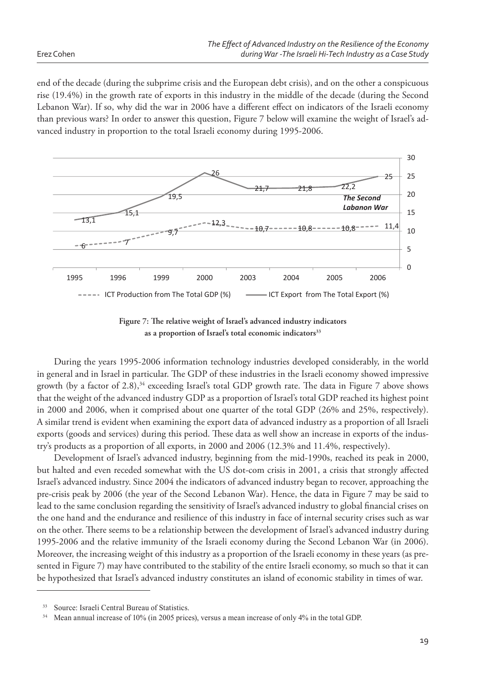end of the decade (during the subprime crisis and the European debt crisis), and on the other a conspicuous rise (19.4%) in the growth rate of exports in this industry in the middle of the decade (during the Second Lebanon War). If so, why did the war in 2006 have a different effect on indicators of the Israeli economy than previous wars? In order to answer this question, Figure 7 below will examine the weight of Israel's advanced industry in proportion to the total Israeli economy during 1995-2006.





During the years 1995-2006 information technology industries developed considerably, in the world in general and in Israel in particular. The GDP of these industries in the Israeli economy showed impressive growth (by a factor of 2.8),<sup>34</sup> exceeding Israel's total GDP growth rate. The data in Figure 7 above shows that the weight of the advanced industry GDP as a proportion of Israel's total GDP reached its highest point in 2000 and 2006, when it comprised about one quarter of the total GDP (26% and 25%, respectively). A similar trend is evident when examining the export data of advanced industry as a proportion of all Israeli exports (goods and services) during this period. These data as well show an increase in exports of the industry's products as a proportion of all exports, in 2000 and 2006 (12.3% and 11.4%, respectively).

Development of Israel's advanced industry, beginning from the mid-1990s, reached its peak in 2000, but halted and even receded somewhat with the US dot-com crisis in 2001, a crisis that strongly affected Israel's advanced industry. Since 2004 the indicators of advanced industry began to recover, approaching the pre-crisis peak by 2006 (the year of the Second Lebanon War). Hence, the data in Figure 7 may be said to lead to the same conclusion regarding the sensitivity of Israel's advanced industry to global financial crises on the one hand and the endurance and resilience of this industry in face of internal security crises such as war on the other. There seems to be a relationship between the development of Israel's advanced industry during 1995-2006 and the relative immunity of the Israeli economy during the Second Lebanon War (in 2006). Moreover, the increasing weight of this industry as a proportion of the Israeli economy in these years (as presented in Figure 7) may have contributed to the stability of the entire Israeli economy, so much so that it can be hypothesized that Israel's advanced industry constitutes an island of economic stability in times of war.

Source: Israeli Central Bureau of Statistics.

<sup>&</sup>lt;sup>34</sup> Mean annual increase of 10% (in 2005 prices), versus a mean increase of only 4% in the total GDP.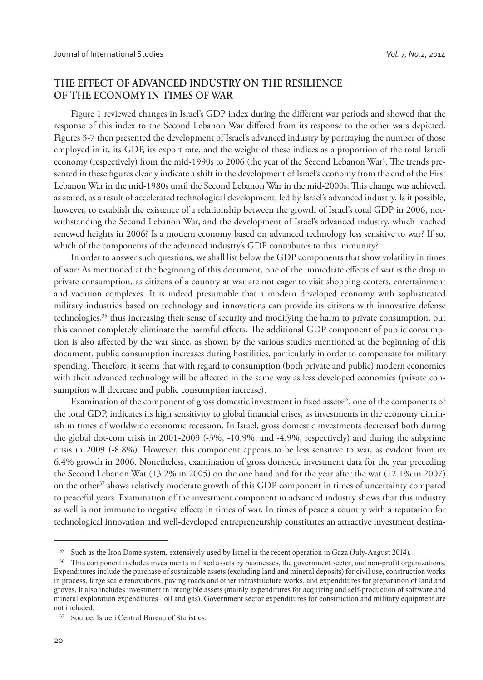### **THE EFFECT OF ADVANCED INDUSTRY ON THE RESILIENCE OF THE ECONOMY IN TIMES OF WAR**

Figure 1 reviewed changes in Israel's GDP index during the different war periods and showed that the response of this index to the Second Lebanon War differed from its response to the other wars depicted. Figures 3-7 then presented the development of Israel's advanced industry by portraying the number of those employed in it, its GDP, its export rate, and the weight of these indices as a proportion of the total Israeli economy (respectively) from the mid-1990s to 2006 (the year of the Second Lebanon War). The trends presented in these figures clearly indicate a shift in the development of Israel's economy from the end of the First Lebanon War in the mid-1980s until the Second Lebanon War in the mid-2000s. This change was achieved, as stated, as a result of accelerated technological development, led by Israel's advanced industry. Is it possible, however, to establish the existence of a relationship between the growth of Israel's total GDP in 2006, notwithstanding the Second Lebanon War, and the development of Israel's advanced industry, which reached renewed heights in 2006? Is a modern economy based on advanced technology less sensitive to war? If so, which of the components of the advanced industry's GDP contributes to this immunity?

In order to answer such questions, we shall list below the GDP components that show volatility in times of war: As mentioned at the beginning of this document, one of the immediate effects of war is the drop in private consumption, as citizens of a country at war are not eager to visit shopping centers, entertainment and vacation complexes. It is indeed presumable that a modern developed economy with sophisticated military industries based on technology and innovations can provide its citizens with innovative defense technologies,<sup>35</sup> thus increasing their sense of security and modifying the harm to private consumption, but this cannot completely eliminate the harmful effects. The additional GDP component of public consumption is also affected by the war since, as shown by the various studies mentioned at the beginning of this document, public consumption increases during hostilities, particularly in order to compensate for military spending. Therefore, it seems that with regard to consumption (both private and public) modern economies with their advanced technology will be affected in the same way as less developed economies (private consumption will decrease and public consumption increase).

Examination of the component of gross domestic investment in fixed assets<sup>36</sup>, one of the components of the total GDP, indicates its high sensitivity to global financial crises, as investments in the economy diminish in times of worldwide economic recession. In Israel, gross domestic investments decreased both during the global dot-com crisis in 2001-2003 (-3%, -10.9%, and -4.9%, respectively) and during the subprime crisis in 2009 (-8.8%). However, this component appears to be less sensitive to war, as evident from its 6.4% growth in 2006. Nonetheless, examination of gross domestic investment data for the year preceding the Second Lebanon War (13.2% in 2005) on the one hand and for the year after the war (12.1% in 2007) on the other<sup>37</sup> shows relatively moderate growth of this GDP component in times of uncertainty compared to peaceful years. Examination of the investment component in advanced industry shows that this industry as well is not immune to negative effects in times of war. In times of peace a country with a reputation for technological innovation and well-developed entrepreneurship constitutes an attractive investment destina-

<sup>&</sup>lt;sup>35</sup> Such as the Iron Dome system, extensively used by Israel in the recent operation in Gaza (July-August 2014).

<sup>&</sup>lt;sup>36</sup> This component includes investments in fixed assets by businesses, the government sector, and non-profit organizations. Expenditures include the purchase of sustainable assets (excluding land and mineral deposits) for civil use, construction works in process, large scale renovations, paving roads and other infrastructure works, and expenditures for preparation of land and groves. It also includes investment in intangible assets (mainly expenditures for acquiring and self-production of software and mineral exploration expenditures- oil and gas). Government sector expenditures for construction and military equipment are not included.

<sup>&</sup>lt;sup>37</sup> Source: Israeli Central Bureau of Statistics.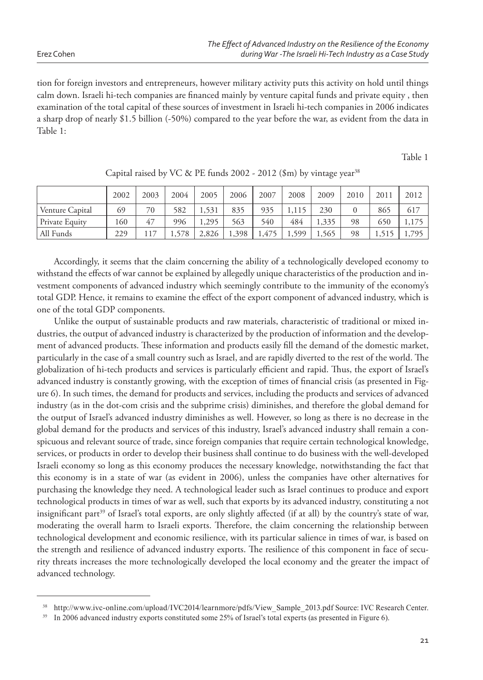tion for foreign investors and entrepreneurs, however military activity puts this activity on hold until things calm down. Israeli hi-tech companies are financed mainly by venture capital funds and private equity, then examination of the total capital of these sources of investment in Israeli hi-tech companies in 2006 indicates a sharp drop of nearly \$1.5 billion (-50%) compared to the year before the war, as evident from the data in Table 1:

Table 1

|                 | 2002 | 2003 | 2004  | 2005  | 2006  | 2007            | 2008  | 2009  | 2010 | 2011  | 2012  |
|-----------------|------|------|-------|-------|-------|-----------------|-------|-------|------|-------|-------|
| Venture Capital | 69   | 70   | 582   | 1,531 | 835   | 935             |       | 230   |      | 865   | 617   |
| Private Equity  | 160  | 47   | 996   | 1,295 | 563   | 540             | 484   | 1,335 | 98   | 650   | 1,175 |
| All Funds       | 229  | 117  | 1,578 | 2,826 | 1,398 | 47 <sup>5</sup> | 1,599 | 1,565 | 98   | 1,515 | 1,795 |

Capital raised by VC & PE funds 2002 - 2012 (\$m) by vintage year<sup>38</sup>

Accordingly, it seems that the claim concerning the ability of a technologically developed economy to withstand the effects of war cannot be explained by allegedly unique characteristics of the production and investment components of advanced industry which seemingly contribute to the immunity of the economy's total GDP. Hence, it remains to examine the effect of the export component of advanced industry, which is one of the total GDP components.

Unlike the output of sustainable products and raw materials, characteristic of traditional or mixed industries, the output of advanced industry is characterized by the production of information and the development of advanced products. These information and products easily fill the demand of the domestic market, particularly in the case of a small country such as Israel, and are rapidly diverted to the rest of the world. The globalization of hi-tech products and services is particularly efficient and rapid. Thus, the export of Israel's advanced industry is constantly growing, with the exception of times of financial crisis (as presented in Figure 6). In such times, the demand for products and services, including the products and services of advanced industry (as in the dot-com crisis and the subprime crisis) diminishes, and therefore the global demand for the output of Israel's advanced industry diminishes as well. However, so long as there is no decrease in the global demand for the products and services of this industry, Israel's advanced industry shall remain a conspicuous and relevant source of trade, since foreign companies that require certain technological knowledge, services, or products in order to develop their business shall continue to do business with the well-developed Israeli economy so long as this economy produces the necessary knowledge, notwithstanding the fact that this economy is in a state of war (as evident in 2006), unless the companies have other alternatives for purchasing the knowledge they need. A technological leader such as Israel continues to produce and export technological products in times of war as well, such that exports by its advanced industry, constituting a not insignificant part<sup>39</sup> of Israel's total exports, are only slightly affected (if at all) by the country's state of war, moderating the overall harm to Israeli exports. Therefore, the claim concerning the relationship between technological development and economic resilience, with its particular salience in times of war, is based on the strength and resilience of advanced industry exports. The resilience of this component in face of security threats increases the more technologically developed the local economy and the greater the impact of advanced technology.

<sup>38</sup> http://www.ivc-online.com/upload/IVC2014/learnmore/pdfs/View\_Sample\_2013.pdf Source: IVC Research Center.

<sup>&</sup>lt;sup>39</sup> In 2006 advanced industry exports constituted some 25% of Israel's total experts (as presented in Figure 6).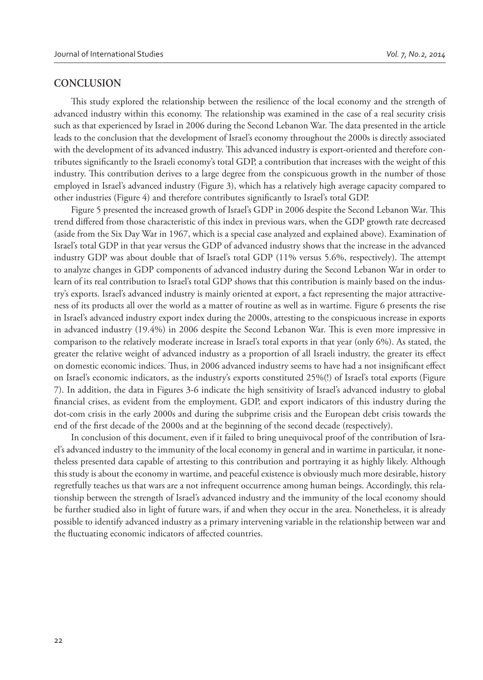#### **CONCLUSION**

This study explored the relationship between the resilience of the local economy and the strength of advanced industry within this economy. The relationship was examined in the case of a real security crisis such as that experienced by Israel in 2006 during the Second Lebanon War. The data presented in the article leads to the conclusion that the development of Israel's economy throughout the 2000s is directly associated with the development of its advanced industry. This advanced industry is export-oriented and therefore contributes significantly to the Israeli economy's total GDP, a contribution that increases with the weight of this industry. This contribution derives to a large degree from the conspicuous growth in the number of those employed in Israel's advanced industry (Figure 3), which has a relatively high average capacity compared to other industries (Figure 4) and therefore contributes significantly to Israel's total GDP.

Figure 5 presented the increased growth of Israel's GDP in 2006 despite the Second Lebanon War. This trend differed from those characteristic of this index in previous wars, when the GDP growth rate decreased (aside from the Six Day War in 1967, which is a special case analyzed and explained above). Examination of Israel's total GDP in that year versus the GDP of advanced industry shows that the increase in the advanced industry GDP was about double that of Israel's total GDP  $(11\%$  versus 5.6%, respectively). The attempt to analyze changes in GDP components of advanced industry during the Second Lebanon War in order to learn of its real contribution to Israel's total GDP shows that this contribution is mainly based on the industry's exports. Israel's advanced industry is mainly oriented at export, a fact representing the major attractiveness of its products all over the world as a matter of routine as well as in wartime. Figure 6 presents the rise in Israel's advanced industry export index during the 2000s, attesting to the conspicuous increase in exports in advanced industry (19.4%) in 2006 despite the Second Lebanon War. This is even more impressive in comparison to the relatively moderate increase in Israel's total exports in that year (only 6%). As stated, the greater the relative weight of advanced industry as a proportion of all Israeli industry, the greater its effect on domestic economic indices. Thus, in 2006 advanced industry seems to have had a not insignificant effect on Israel's economic indicators, as the industry's exports constituted 25%(!) of Israel's total exports (Figure 7). In addition, the data in Figures 3-6 indicate the high sensitivity of Israel's advanced industry to global financial crises, as evident from the employment, GDP, and export indicators of this industry during the dot-com crisis in the early 2000s and during the subprime crisis and the European debt crisis towards the end of the first decade of the 2000s and at the beginning of the second decade (respectively).

In conclusion of this document, even if it failed to bring unequivocal proof of the contribution of Israel's advanced industry to the immunity of the local economy in general and in wartime in particular, it nonetheless presented data capable of attesting to this contribution and portraying it as highly likely. Although this study is about the economy in wartime, and peaceful existence is obviously much more desirable, history regretfully teaches us that wars are a not infrequent occurrence among human beings. Accordingly, this relationship between the strength of Israel's advanced industry and the immunity of the local economy should be further studied also in light of future wars, if and when they occur in the area. Nonetheless, it is already possible to identify advanced industry as a primary intervening variable in the relationship between war and the fluctuating economic indicators of affected countries.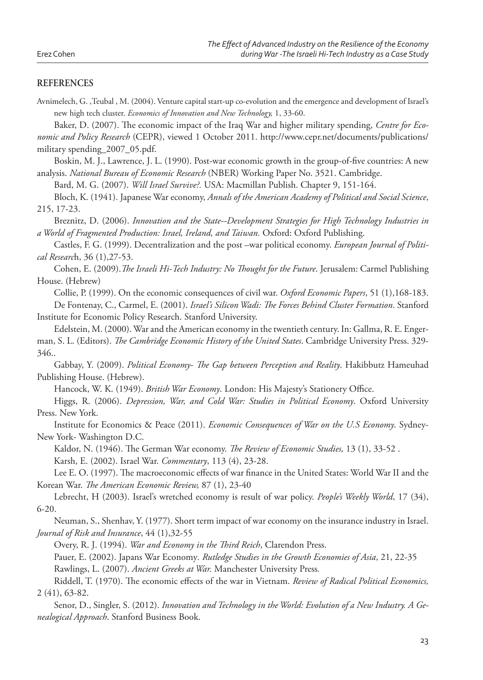#### **REFERENCES**

Avnimelech, G. ,Teubal , M. (2004). Venture capital start-up co-evolution and the emergence and development of Israel's new high tech cluster. *Economics of Innovation and New Technology,* 1, 33-60.

Baker, D. (2007). The economic impact of the Iraq War and higher military spending, *Centre for Economic and Policy Research* (CEPR), viewed 1 October 2011. http://www.cepr.net/documents/publications/ military spending\_2007\_05.pdf.

Boskin, M. J., Lawrence, J. L. (1990). Post-war economic growth in the group-of-five countries: A new analysis. *National Bureau of Economic Research* (NBER) Working Paper No. 3521. Cambridge.

Bard, M. G. (2007). *Will Israel Survive?.* USA: Macmillan Publish. Chapter 9, 151-164.

Bloch, K. (1941). Japanese War economy, *Annals of the American Academy of Political and Social Science*, 215, 17-23.

Breznitz, D. (2006). *Innovation and the State--Development Strategies for High Technology Industries in a World of Fragmented Production: Israel, Ireland, and Taiwan.* Oxford: Oxford Publishing.

Castles, F. G. (1999). Decentralization and the post –war political economy. *European Journal of Political Researc*h, 36 (1),27-53.

Cohen, E. (2009). The Israeli Hi-Tech Industry: No Thought for the Future. Jerusalem: Carmel Publishing House. (Hebrew)

Collie, P. (1999). On the economic consequences of civil war. *Oxford Economic Papers*, 51 (1),168-183.

De Fontenay, C., Carmel, E. (2001). *Israel's Silicon Wadi: # e Forces Behind Cluster Formation*. Stanford Institute for Economic Policy Research. Stanford University.

Edelstein, M. (2000). War and the American economy in the twentieth century. In: Gallma, R. E. Engerman, S. L. (Editors). *The Cambridge Economic History of the United States*. Cambridge University Press. 329-346..

Gabbay, Y. (2009). *Political Economy- The Gap between Perception and Reality*. Hakibbutz Hameuhad Publishing House. (Hebrew).

Hancock, W. K. (1949). *British War Economy*. London: His Majesty's Stationery Office.

Higgs, R. (2006). *Depression, War, and Cold War: Studies in Political Economy*. Oxford University Press. New York.

Institute for Economics & Peace (2011). *Economic Consequences of War on the U.S Economy*. Sydney-New York- Washington D.C.

Kaldor, N. (1946). The German War economy. *The Review of Economic Studies*, 13 (1), 33-52. Karsh, E. (2002). Israel War. *Commentary*, 113 (4), 23-28.

Lee E. O. (1997). The macroeconomic effects of war finance in the United States: World War II and the Korean War. *The American Economic Review*, 87 (1), 23-40

Lebrecht, H (2003). Israel's wretched economy is result of war policy. *People's Weekly World*, 17 (34), 6-20.

Neuman, S., Shenhav, Y. (1977). Short term impact of war economy on the insurance industry in Israel. *Journal of Risk and Insurance*, 44 (1),32-55

Overy, R. J. (1994). *War and Economy in the Third Reich*, Clarendon Press.

Pauer, E. (2002). Japans War Economy*. Rutledge Studies in the Growth Economies of Asia*, 21, 22-35 Rawlings, L. (2007). *Ancient Greeks at War.* Manchester University Press*.*

Riddell, T. (1970). The economic effects of the war in Vietnam. *Review of Radical Political Economics*, 2 (41), 63-82.

Senor, D., Singler, S. (2012). *Innovation and Technology in the World: Evolution of a New Industry. A Genealogical Approach*. Stanford Business Book.